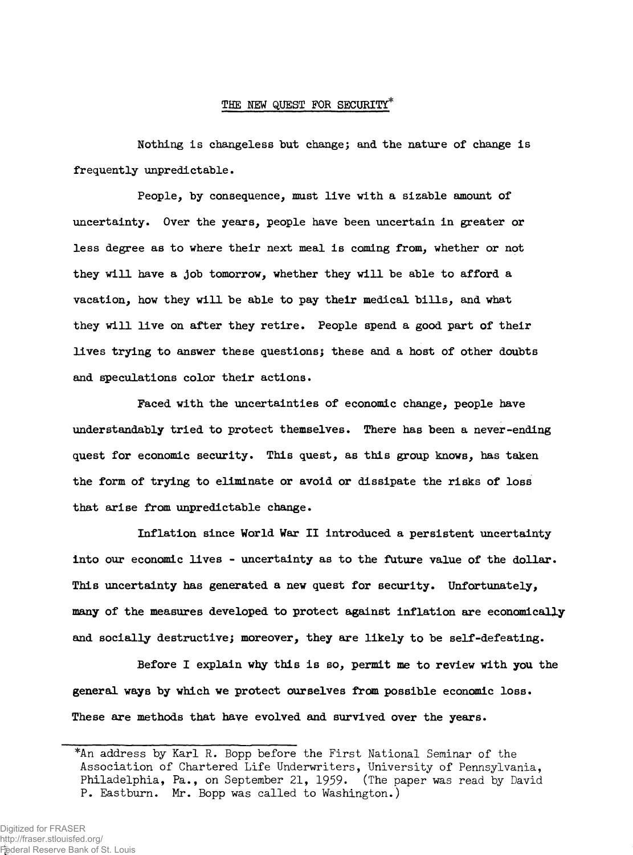## **THE NEW QUEST FOR SECURITY\***

**Nothing is changeless but change; and the nature of change is frequently unpredictable.**

**People, by consequence, must live with a sizable amount of uncertainty. Over the years, people have been uncertain in greater or less degree as to where their next meal is coming from, whether or not they will have a job tomorrow, whether they will be able to afford a vacation, how they will be able to pay their medical bills, and what they will live on after they retire. People spend a good part of their lives trying to answer these questions; these and a host of other doubts and speculations color their actions.**

**Faced with the uncertainties of economic change, people have understandably tried to protect themselves. There has been a never-ending quest for economic security. This quest, as this group knows, has taken the form of trying to eliminate or avoid or dissipate the risks of loss that arise from unpredictable change.**

**Inflation since World War II introduced a persistent uncertainty into our economic lives - uncertainty as to the future value of the dollar. This uncertainty has generated a new quest for security. Unfortunately, many of the measures developed to protect against inflation are economically and socially destructive; moreover, they are likely to be self-defeating.**

**Before I explain why this is so, permit me to review with you the general ways by which we protect ourselves from possible economic loss. These are methods that have evolved and survived over the years.**

<sup>\*</sup>An address by Karl R. Bopp before the First National Seminar of the Association of Chartered Life Underwriters, University of Pennsylvania, Philadelphia, Pa., on September **21, 1959.** (The paper was read by David P. Eastburn. Mr. Bopp was called to Washington.)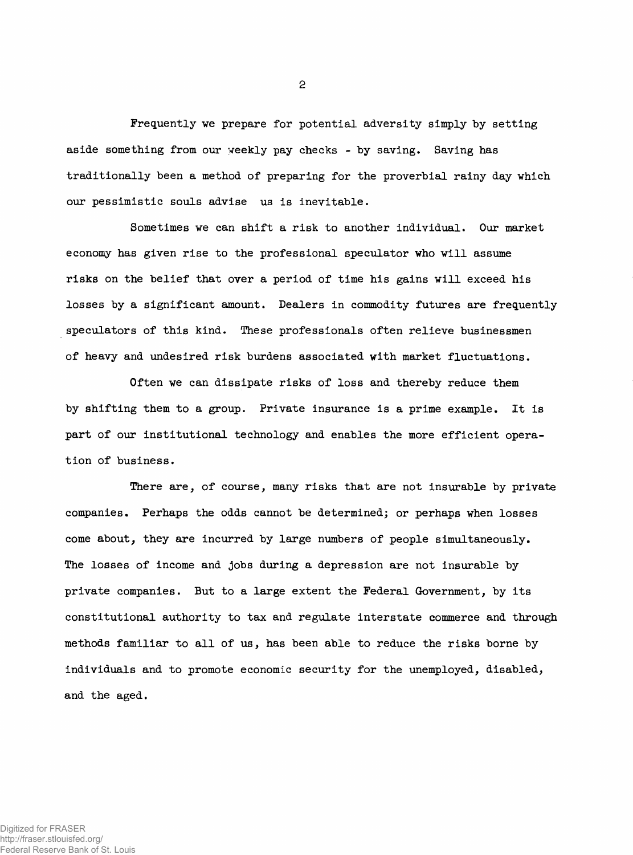**Frequently we prepare for potential adversity simply by setting aside something from our weekly pay checks - by saving. Saving has traditionally been a method of preparing for the proverbial rainy day which our pessimistic souls advise us is inevitable.**

**Sometimes we can shift a risk to another individual. Our market economy has given rise to the professional speculator who will assume risks on the belief that over a period of time his gains will exceed his losses by a significant amount. Dealers in commodity futures are frequently speculators of this kind. These professionals often relieve businessmen of heavy and undesired risk burdens associated with market fluctuations.**

**Often we can dissipate risks of loss and thereby reduce them by shifting them to a group. Private insurance is a prime example. It is part of our institutional technology and enables the more efficient operation of business.**

**There axe, of course, many risks that are not insurable by private companies. Perhaps the odds cannot be determined; or perhaps when losses come about***,* **they are incurred by large numbers of people simultaneously. The losses of income and jobs during a depression axe not insurable by private companies. But to a large extent the Federal Government, by its constitutional authority to tax and regulate interstate commerce and through methods familiar to all of us, has been able to reduce the risks borne by individuals and to promote economic security for the unemployed, disabled, and the aged.**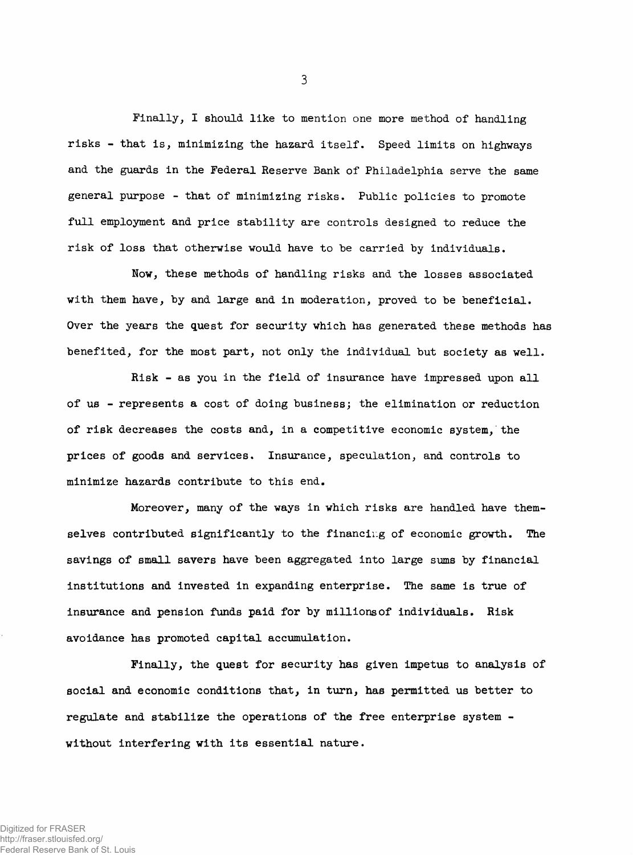**Finally, I should like to mention one more method of handling risks - that is, minimizing the hazard itself. Speed limits on highways and the guards in the Federal Reserve Bank of Philadelphia serve the same general purpose - that of minimizing risks. Public policies to promote full employment and price stability are controls designed to reduce the risk of loss that otherwise would have to be carried by individuals.**

3

**Now, these methods of handling risks and the losses associated with them have, by and large and in moderation, proved to be beneficial. Over the years the quest for security which has generated these methods has benefited, for the most part, not only the individual but society as well.**

**Risk - as you in the field of insurance have impressed upon all of us - represents a cost of doing business; the elimination or reduction of risk decreases the costs and, in a competitive economic system, the prices of goods and services. Insurance, speculation, and controls to minimize hazards contribute to this end.**

**Moreover, many of the ways in which risks are handled have themselves contributed significantly to the financing of economic growth. The savings of small savers have been aggregated into large sums by financial institutions and invested in expanding enterprise. The same is true of insurance and pension funds paid for by millions of individuals. Risk avoidance has promoted capital accumulation.**

**Finally, the quest for security has given impetus to analysis of social and economic conditions that, in turn, has permitted us better to regulate and stabilize the operations of the free enterprise system without interfering with its essential nature.**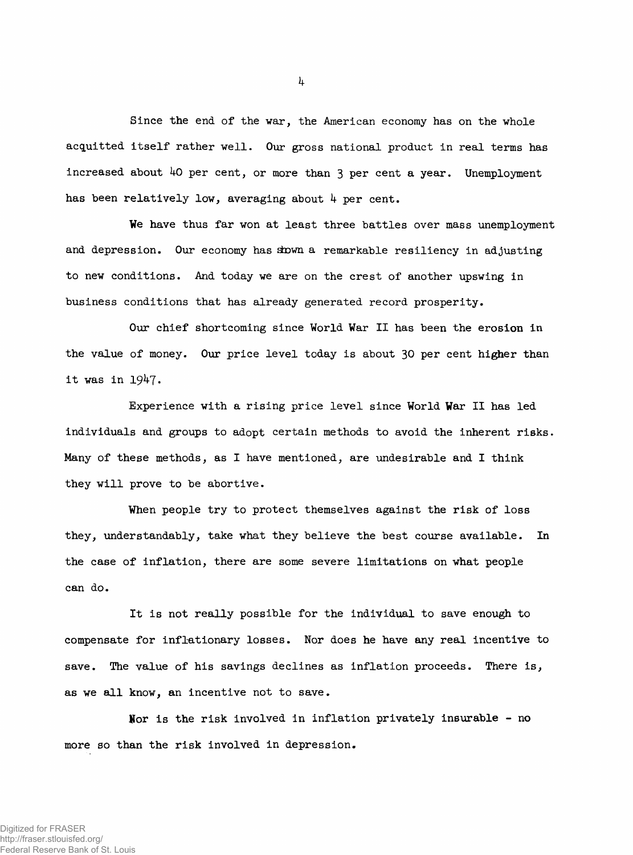**Since the end of the war, the American economy has on the whole acquitted itself rather well. Our gross national product in real terms has** increased about 40 per cent, or more than 3 per cent a year. Unemployment has been relatively low, averaging about 4 per cent.

**We have thus far won at least three battles over mass unemployment** and depression. Our economy has shown a remarkable resiliency in adjusting **to new conditions. And today we are on the crest of another upswing in business conditions that has already generated record prosperity.**

**Our chief shortcoming since World War II has been the erosion in the value of money. Our price level today is about 30 per cent higher than it was in 19^7\***

**Experience with a rising price level since World War II has led individuals and groups to adopt certain methods to avoid the inherent risks. Many of these methods, as I have mentioned, are undesirable and I think they will prove to be abortive.**

**When people try to protect themselves against the risk of loss they, understandably, take what they believe the best course available. In the case of inflation, there are some severe limitations on what people can do.**

**It is not really possible for the individual to save enough to compensate for inflationary losses. Nor does he have any real incentive to save. The value of his savings declines as inflation proceeds. There is, as we all know, an incentive not to save.**

**Uor is the risk involved in inflation privately insurable - no more so than the risk involved in depression.**

*k*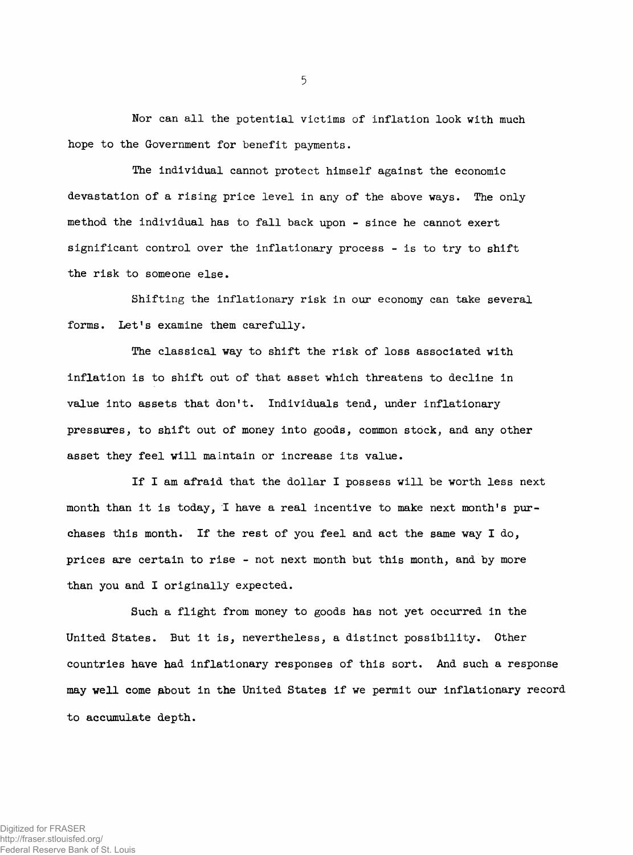**Nor can all the potential victims of inflation look with much hope to the Government for benefit payments.**

**The individual cannot protect himself against the economic devastation of a rising price level in any of the above ways. The only method the individual has to fall back upon - since he cannot exert significant control over the inflationary process - is to try to shift the risk to someone else.**

**Shifting the inflationary risk in our economy can take several forms. Let's examine them carefully.**

**The classical way to shift the risk of loss associated with inflation is to shift out of that asset which threatens to decline in value into assets that don't. Individuals tend, under inflationary pressures, to shift out of money into goods, common stock, and any other asset they feel will maintain or increase its value.**

**If I am afraid that the dollar I possess will be worth less next month than it is today, I have a real incentive to make next month's purchases this month. If the rest of you feel and act the same way I do, prices are certain to rise - not next month but this month, and by more than you and I originally expected.**

**Such a flight from money to goods has not yet occurred in the United States. But it is, nevertheless, a distinct possibility. Other countries have had inflationary responses of this sort. And such a response** may well come about in the United States if we permit our inflationary record **to accumulate depth.**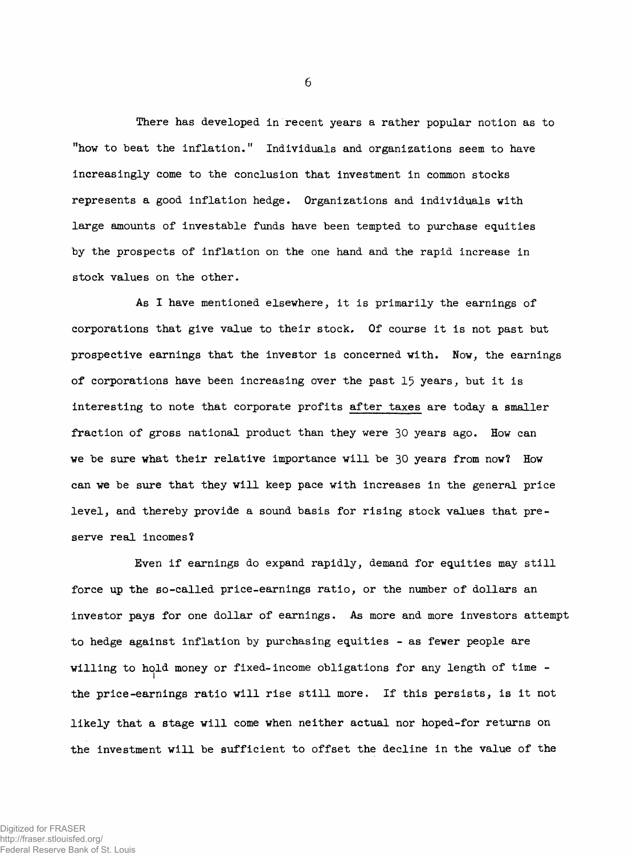**There has developed in recent years a rather popular notion as to "how to beat the inflation." Individuals and organizations seem to have increasingly come to the conclusion that investment in common stocks represents a good inflation hedge. Organizations and individuals with large amounts of investable funds have been tempted to purchase equities by the prospects of inflation on the one hand and the rapid increase in stock values on the other.**

**As I have mentioned elsewhere, it is primarily the earnings of corporations that give value to their stock. Of course it is not past but prospective earnings that the investor is concerned with. Now, the earnings of corporations have been increasing over the past 15 years, but it is interesting to note that corporate profits after taxes are today a smaller fraction of gross national product than they were 30 years ago. How can we be sure what their relative importance will be 30 years from now? How can we be sure that they will keep pace with increases in the general price level, and thereby provide a sound basis for rising stock values that preserve real incomes?**

**Even if earnings do expand rapidly, demand for equities may still force up the so-called price-earnings ratio, or the number of dollars an investor pays for one dollar of earnings. As more and more investors attempt to hedge against inflation by purchasing equities - as fewer people are willing to hold money or fixed-income obligations for any length of time the price-earnings ratio will rise still more. If this persists, is it not likely that a stage will come when neither actual nor hoped-for returns on the investment will be sufficient to offset the decline in the value of the**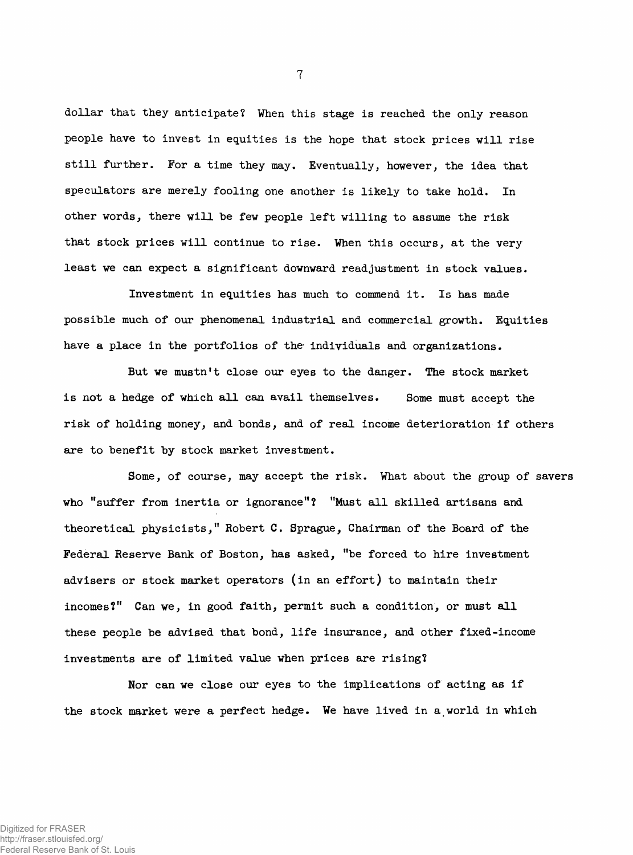**dollar that they anticipate? When this stage is reached the only reason people have to invest in equities is the hope that stock prices will rise still further. For a time they may. Eventually, however, the idea that speculators are merely fooling one another is likely to take hold. In other words, there will be few people left willing to assume the risk that stock prices will continue to rise. When this occurs, at the very least we can expect a significant downward readjustment in stock values.**

**Investment in equities has much to commend it. Is has made possible much of our phenomenal, industrial and commercial growth. Equities have a place in the portfolios of the- individuals and organizations.**

**But we mustn't close our eyes to the danger. The stock market is not a hedge of which all can avail themselves. Some must accept the risk of holding money, and bonds, and of real income deterioration if others are to benefit by stock market investment.**

**Some, of course, may accept the risk. What about the group of savers who "suffer from inertia or ignorance"? "Must all skilled artisans and theoretical physicists," Robert C. Sprague, Chairman of the Board of the Federal Reserve Bank of Boston, has asked, "be forced to hire investment advisers or stock market operators (in an effort) to maintain their incomes?" Can we, in good faith, permit such a condition, or must all these people be advised that bond, life insurance, and other fixed-income investments are of limited value when prices are rising?**

**Nor can we close our eyes to the implications of acting as if the stock market were a perfect hedge. We have lived in a world in which**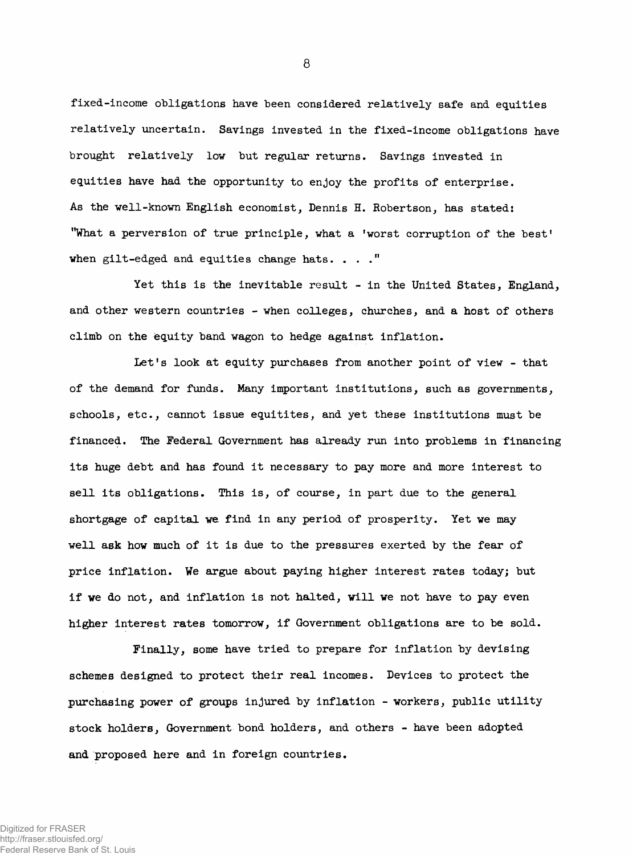**fixed.-income obligations have been considered relatively safe and equities relatively uncertain. Savings invested in the fixed-income obligations have brought relatively low but regular returns. Savings invested in equities have had the opportunity to enjoy the profits of enterprise. As the well-known English economist, Dennis H. Robertson, has stated: "What a perversion of true principle, what a 'worst corruption of the best' when gilt-edged and equities change hats. ..."**

**Yet this is the inevitable result - in the United States, England, and other western countries - when colleges, churches, and a host of others climb on the equity band wagon to hedge against inflation.**

**Let's look at equity purchases from another point of view - that of the demand for funds. Many important institutions, such as governments, schools, etc., cannot issue equitites, and yet these institutions must be financed. The Federal Government has already run into problems in financing its huge debt and has found it necessary to pay more and more interest to sell its obligations. This is, of course, in part due to the general shortgage of capital, we. find in any period of prosperity. Yet we may well ask how much of it is due to the pressures exerted by the fear of price inflation. We argue about paying higher interest rates today; but if we do not, and inflation is not halted, will we not have to pay even higher interest rates tomorrow, if Government obligations are to be sold.**

**Finally, some have tried to prepare for inflation by devising schemes designed to protect their real incomes. Devices to protect the purchasing power of groups injured by inflation - workers, public utility stock holders, Government bond holders, and others - have been adopted and proposed here and in foreign countries.**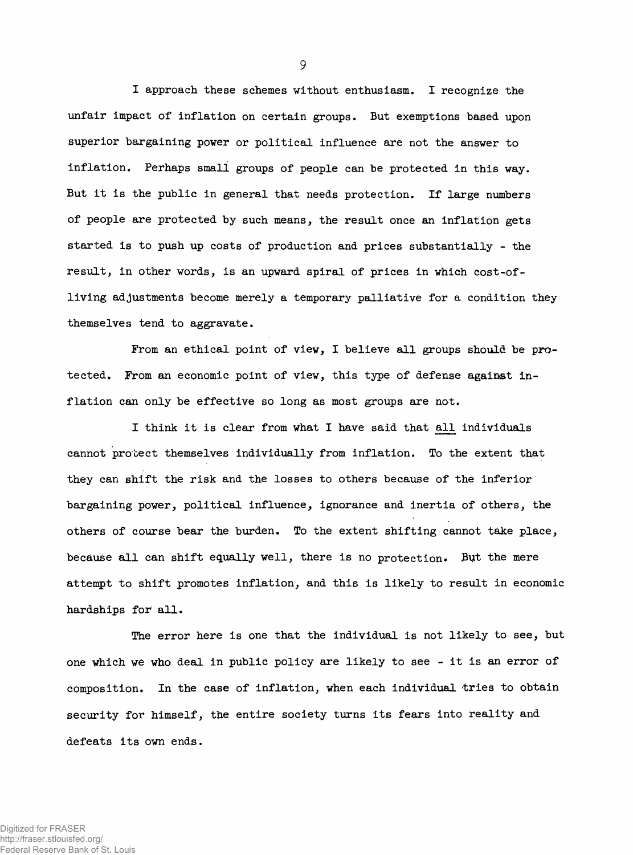**I approach these schemes without enthusiasm. I recognize the unfair impact of inflation on certain groups. But exemptions based upon superior bargaining power or political influence are not the answer to inflation. Perhaps small groups of people can be protected in this way. But it is the public in general that needs protection. If large numbers of people are protected by such means, the result once an inflation gets started is to push up costs of production and prices substantially - the result, in other words, is an upward spiral of prices in which cost-ofliving adjustments become merely a temporary palliative for a condition they themselves tend to aggravate.**

**From an ethical point of view, I believe all groups should be protected. From an economic point of view, this type of defense against inflation can only be effective so long as most groups are not.**

**I think it is clear from what I have said that all individuals cannot protect themselves individually from inflation. To the extent that they can shift the risk and the losses to others because of the inferior bargaining power, political, influence, ignorance and inertia of others, the others of course bear the burden. To the extent shifting cannot take place, because all can shift equally well, there is no protection. Put the mere attempt to shift promotes inflation, and this is likely to result in economic hardships for all.**

**The error here is one that the individual is not likely to see, but one which we who deal in public policy are likely to see - it is an error of composition. In the case of inflation, when each individual tries to obtain security for himself, the entire society turns its fears into reality and defeats its own ends.**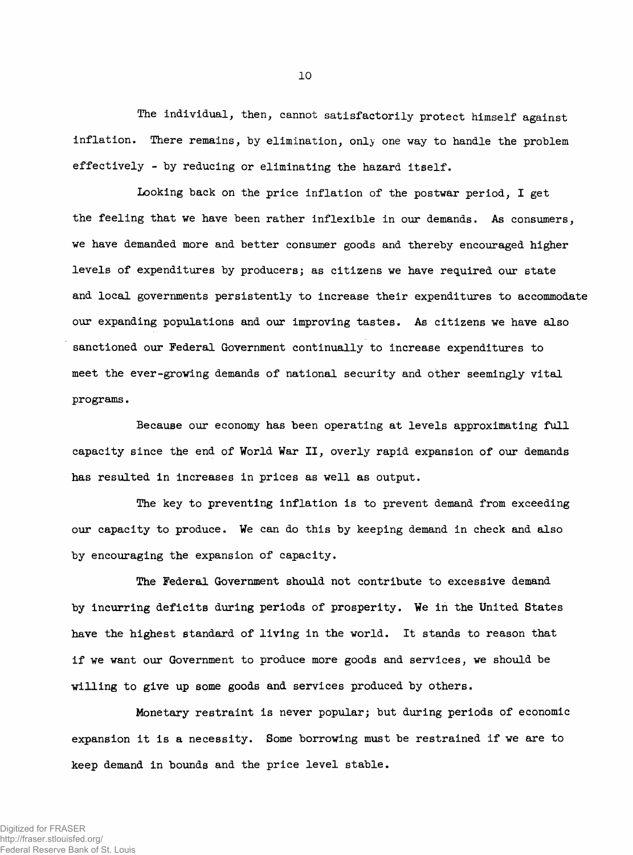**The individual, then, cannot satisfactorily protect himself against inflation. There remains, by elimination, only one way to handle the problem effectively - by reducing or eliminating the hazard itself.**

**Looking back on the price inflation of the postwar period, I get the feeling that we have been rather inflexible in our demands. As consumers, we have demanded more and better consumer goods and thereby encouraged higher levels of expenditures by producers; as citizens we have required our state and local governments persistently to increase their expenditures to accommodate our expanding populations and our improving tastes. As citizens we have also sanctioned our Federal. Government continually to increase expenditures to meet the ever-growing demands of national security and other seemingly vital programs.**

**Because our economy has been operating at levels approximating full capacity since the end of World War II, overly rapid expansion of our demands has resulted in increases in prices as well as output.**

**The key to preventing inflation is to prevent demand from exceeding our capacity to produce. We can do this by keeping demand in check and also by encouraging the expansion of capacity.**

**The Federal Government should not contribute to excessive demand by incurring deficits during periods of prosperity. We in the United States have the highest standard of living in the world. It stands to reason that if we want our Government to produce more goods and services, we should be willing to give up some goods and services produced by others.**

**Monetary restraint is never popular; but during periods of economic expansion it is a necessity. Some borrowing must be restrained if we are to keep demand in bounds and the price level stable.**